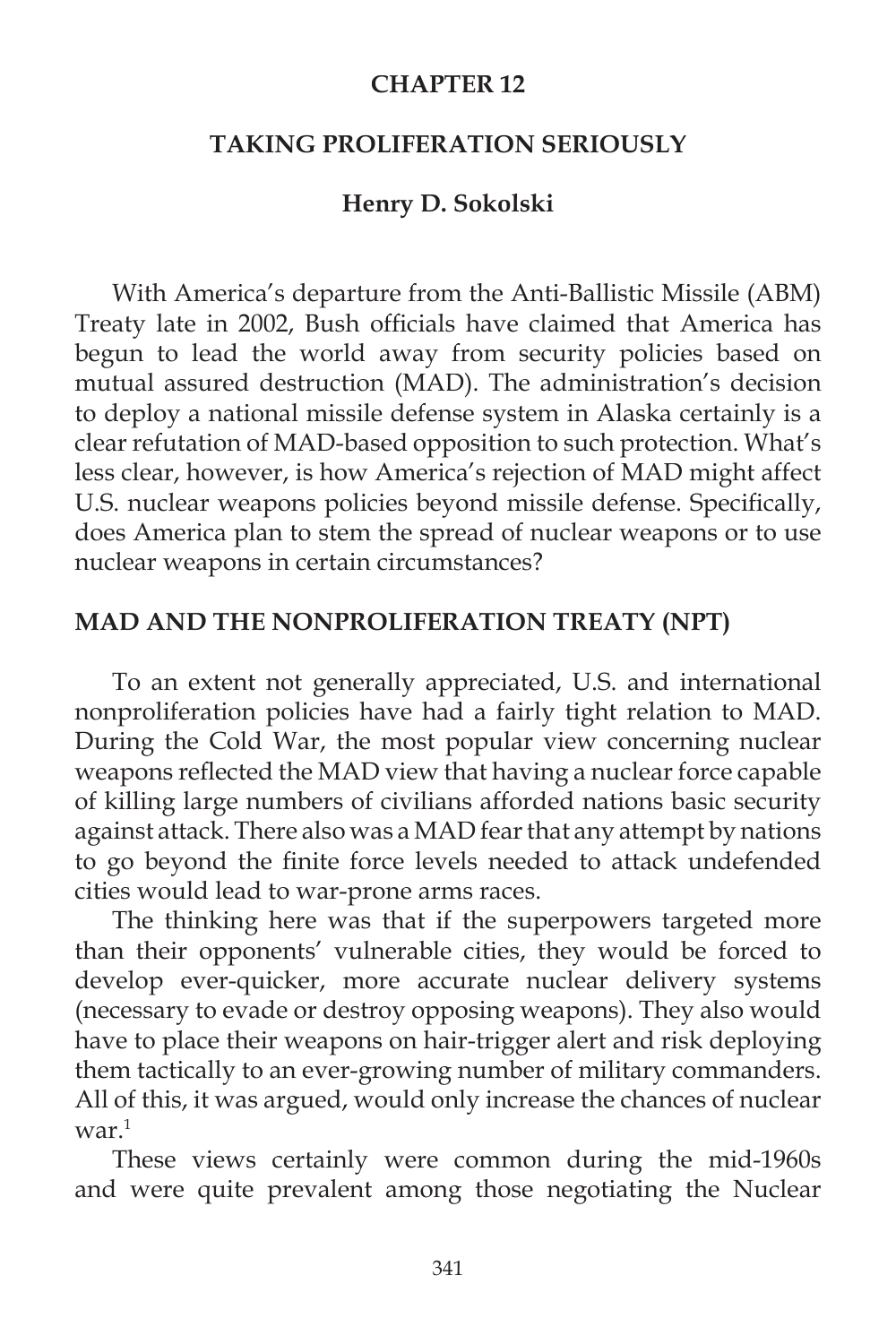#### **CHAPTER 12**

### **TAKING PROLIFERATION SERIOUSLY**

# **Henry D. Sokolski**

With America's departure from the Anti-Ballistic Missile (ABM) Treaty late in 2002, Bush officials have claimed that America has begun to lead the world away from security policies based on mutual assured destruction (MAD). The administration's decision to deploy a national missile defense system in Alaska certainly is a clear refutation of MAD-based opposition to such protection. What's less clear, however, is how America's rejection of MAD might affect U.S. nuclear weapons policies beyond missile defense. Specifically, does America plan to stem the spread of nuclear weapons or to use nuclear weapons in certain circumstances?

#### **MAD AND THE NONPROLIFERATION TREATY (NPT)**

To an extent not generally appreciated, U.S. and international nonproliferation policies have had a fairly tight relation to MAD. During the Cold War, the most popular view concerning nuclear weapons reflected the MAD view that having a nuclear force capable of killing large numbers of civilians afforded nations basic security against attack. There also was a MAD fear that any attempt by nations to go beyond the finite force levels needed to attack undefended cities would lead to war-prone arms races.

 The thinking here was that if the superpowers targeted more than their opponents' vulnerable cities, they would be forced to develop ever-quicker, more accurate nuclear delivery systems (necessary to evade or destroy opposing weapons). They also would have to place their weapons on hair-trigger alert and risk deploying them tactically to an ever-growing number of military commanders. All of this, it was argued, would only increase the chances of nuclear  $\text{war}.^1$ 

 These views certainly were common during the mid-1960s and were quite prevalent among those negotiating the Nuclear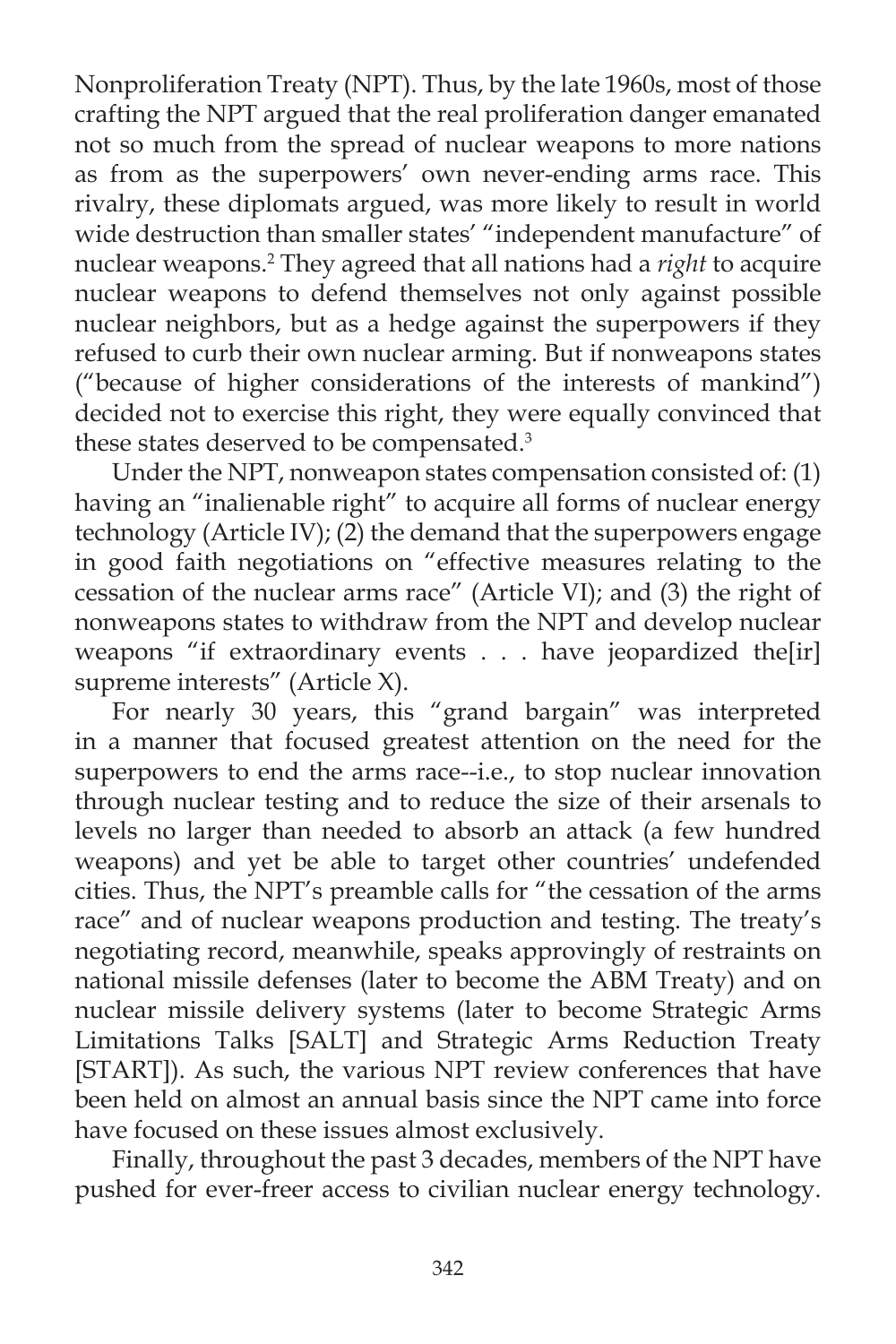Nonproliferation Treaty (NPT). Thus, by the late 1960s, most of those crafting the NPT argued that the real proliferation danger emanated not so much from the spread of nuclear weapons to more nations as from as the superpowers' own never-ending arms race. This rivalry, these diplomats argued, was more likely to result in world wide destruction than smaller states' "independent manufacture" of nuclear weapons.2 They agreed that all nations had a *right* to acquire nuclear weapons to defend themselves not only against possible nuclear neighbors, but as a hedge against the superpowers if they refused to curb their own nuclear arming. But if nonweapons states ("because of higher considerations of the interests of mankind") decided not to exercise this right, they were equally convinced that these states deserved to be compensated.<sup>3</sup>

 Under the NPT, nonweapon states compensation consisted of: (1) having an "inalienable right" to acquire all forms of nuclear energy technology (Article IV); (2) the demand that the superpowers engage in good faith negotiations on "effective measures relating to the cessation of the nuclear arms race" (Article VI); and (3) the right of nonweapons states to withdraw from the NPT and develop nuclear weapons "if extraordinary events . . . have jeopardized the[ir] supreme interests" (Article X).

 For nearly 30 years, this "grand bargain" was interpreted in a manner that focused greatest attention on the need for the superpowers to end the arms race--i.e., to stop nuclear innovation through nuclear testing and to reduce the size of their arsenals to levels no larger than needed to absorb an attack (a few hundred weapons) and yet be able to target other countries' undefended cities. Thus, the NPT's preamble calls for "the cessation of the arms race" and of nuclear weapons production and testing. The treaty's negotiating record, meanwhile, speaks approvingly of restraints on national missile defenses (later to become the ABM Treaty) and on nuclear missile delivery systems (later to become Strategic Arms Limitations Talks [SALT] and Strategic Arms Reduction Treaty [START]). As such, the various NPT review conferences that have been held on almost an annual basis since the NPT came into force have focused on these issues almost exclusively.

 Finally, throughout the past 3 decades, members of the NPT have pushed for ever-freer access to civilian nuclear energy technology.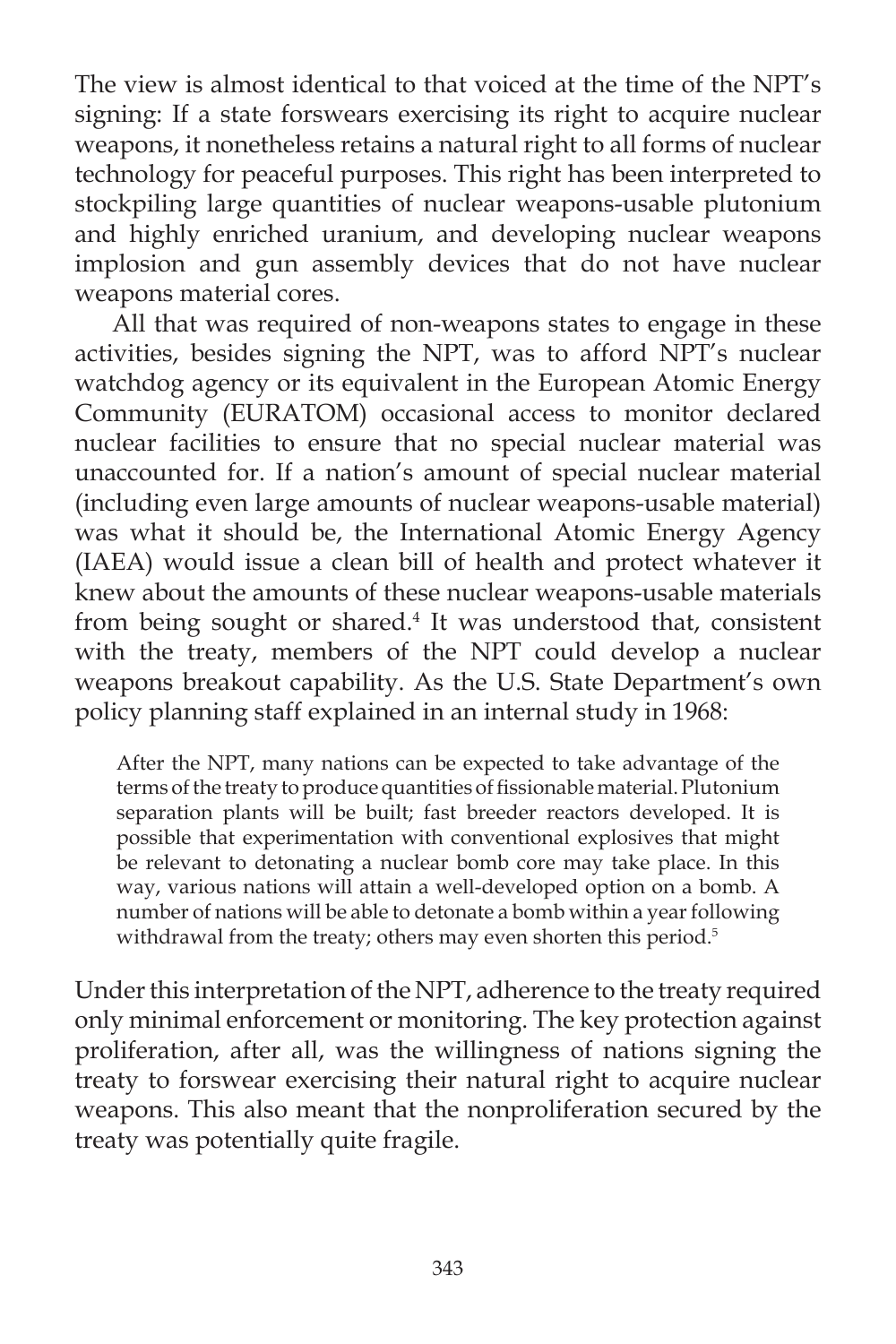The view is almost identical to that voiced at the time of the NPT's signing: If a state forswears exercising its right to acquire nuclear weapons, it nonetheless retains a natural right to all forms of nuclear technology for peaceful purposes. This right has been interpreted to stockpiling large quantities of nuclear weapons-usable plutonium and highly enriched uranium, and developing nuclear weapons implosion and gun assembly devices that do not have nuclear weapons material cores.

 All that was required of non-weapons states to engage in these activities, besides signing the NPT, was to afford NPT's nuclear watchdog agency or its equivalent in the European Atomic Energy Community (EURATOM) occasional access to monitor declared nuclear facilities to ensure that no special nuclear material was unaccounted for. If a nation's amount of special nuclear material (including even large amounts of nuclear weapons-usable material) was what it should be, the International Atomic Energy Agency (IAEA) would issue a clean bill of health and protect whatever it knew about the amounts of these nuclear weapons-usable materials from being sought or shared.4 It was understood that, consistent with the treaty, members of the NPT could develop a nuclear weapons breakout capability. As the U.S. State Department's own policy planning staff explained in an internal study in 1968:

After the NPT, many nations can be expected to take advantage of the terms of the treaty to produce quantities of fissionable material. Plutonium separation plants will be built; fast breeder reactors developed. It is possible that experimentation with conventional explosives that might be relevant to detonating a nuclear bomb core may take place. In this way, various nations will attain a well-developed option on a bomb. A number of nations will be able to detonate a bomb within a year following withdrawal from the treaty; others may even shorten this period.<sup>5</sup>

Under this interpretation of the NPT, adherence to the treaty required only minimal enforcement or monitoring. The key protection against proliferation, after all, was the willingness of nations signing the treaty to forswear exercising their natural right to acquire nuclear weapons. This also meant that the nonproliferation secured by the treaty was potentially quite fragile.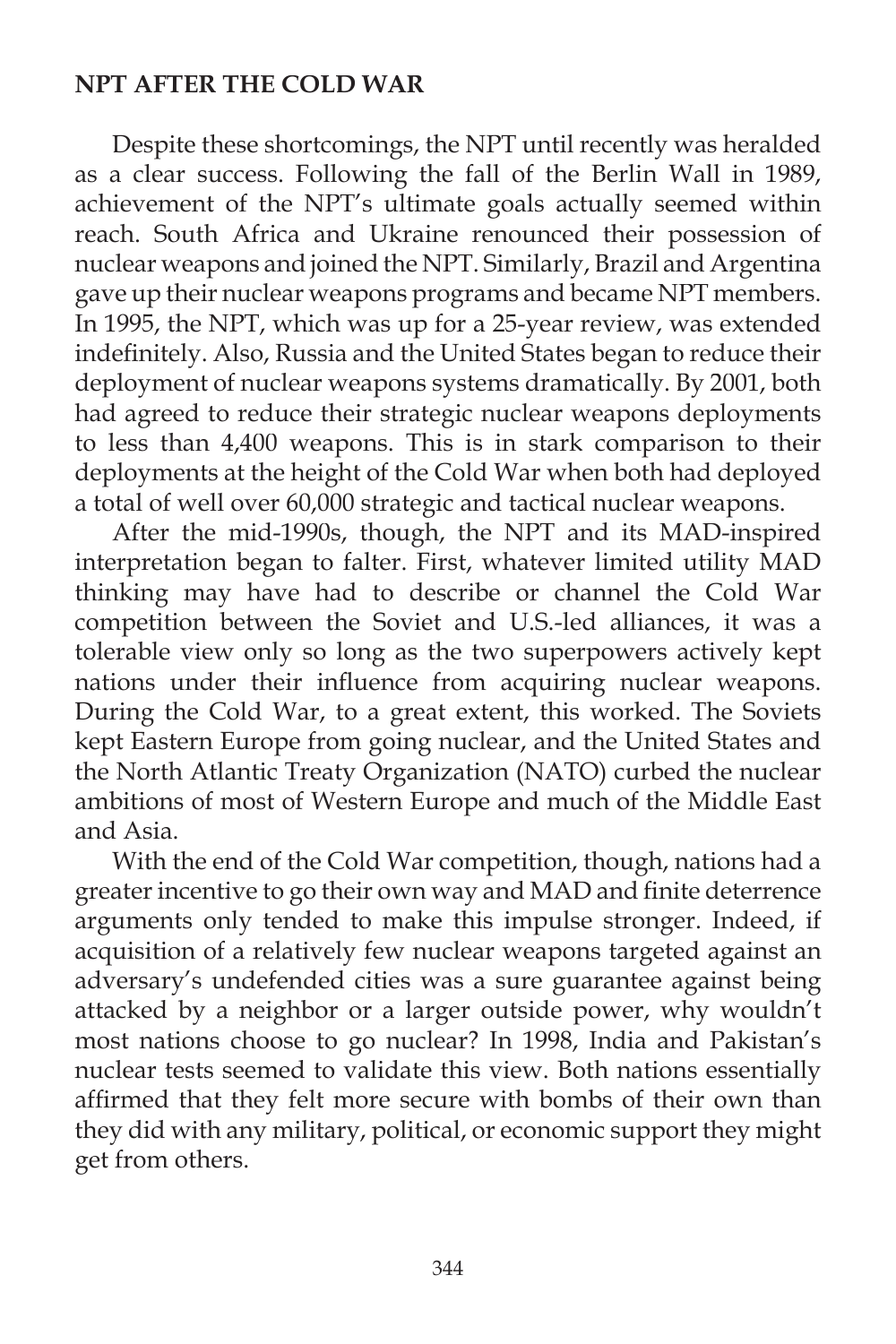# **NPT AFTER THE COLD WAR**

 Despite these shortcomings, the NPT until recently was heralded as a clear success. Following the fall of the Berlin Wall in 1989, achievement of the NPT's ultimate goals actually seemed within reach. South Africa and Ukraine renounced their possession of nuclear weapons and joined the NPT. Similarly, Brazil and Argentina gave up their nuclear weapons programs and became NPT members. In 1995, the NPT, which was up for a 25-year review, was extended indefinitely. Also, Russia and the United States began to reduce their deployment of nuclear weapons systems dramatically. By 2001, both had agreed to reduce their strategic nuclear weapons deployments to less than 4,400 weapons. This is in stark comparison to their deployments at the height of the Cold War when both had deployed a total of well over 60,000 strategic and tactical nuclear weapons.

 After the mid-1990s, though, the NPT and its MAD-inspired interpretation began to falter. First, whatever limited utility MAD thinking may have had to describe or channel the Cold War competition between the Soviet and U.S.-led alliances, it was a tolerable view only so long as the two superpowers actively kept nations under their influence from acquiring nuclear weapons. During the Cold War, to a great extent, this worked. The Soviets kept Eastern Europe from going nuclear, and the United States and the North Atlantic Treaty Organization (NATO) curbed the nuclear ambitions of most of Western Europe and much of the Middle East and Asia.

 With the end of the Cold War competition, though, nations had a greater incentive to go their own way and MAD and finite deterrence arguments only tended to make this impulse stronger. Indeed, if acquisition of a relatively few nuclear weapons targeted against an adversary's undefended cities was a sure guarantee against being attacked by a neighbor or a larger outside power, why wouldn't most nations choose to go nuclear? In 1998, India and Pakistan's nuclear tests seemed to validate this view. Both nations essentially affirmed that they felt more secure with bombs of their own than they did with any military, political, or economic support they might get from others.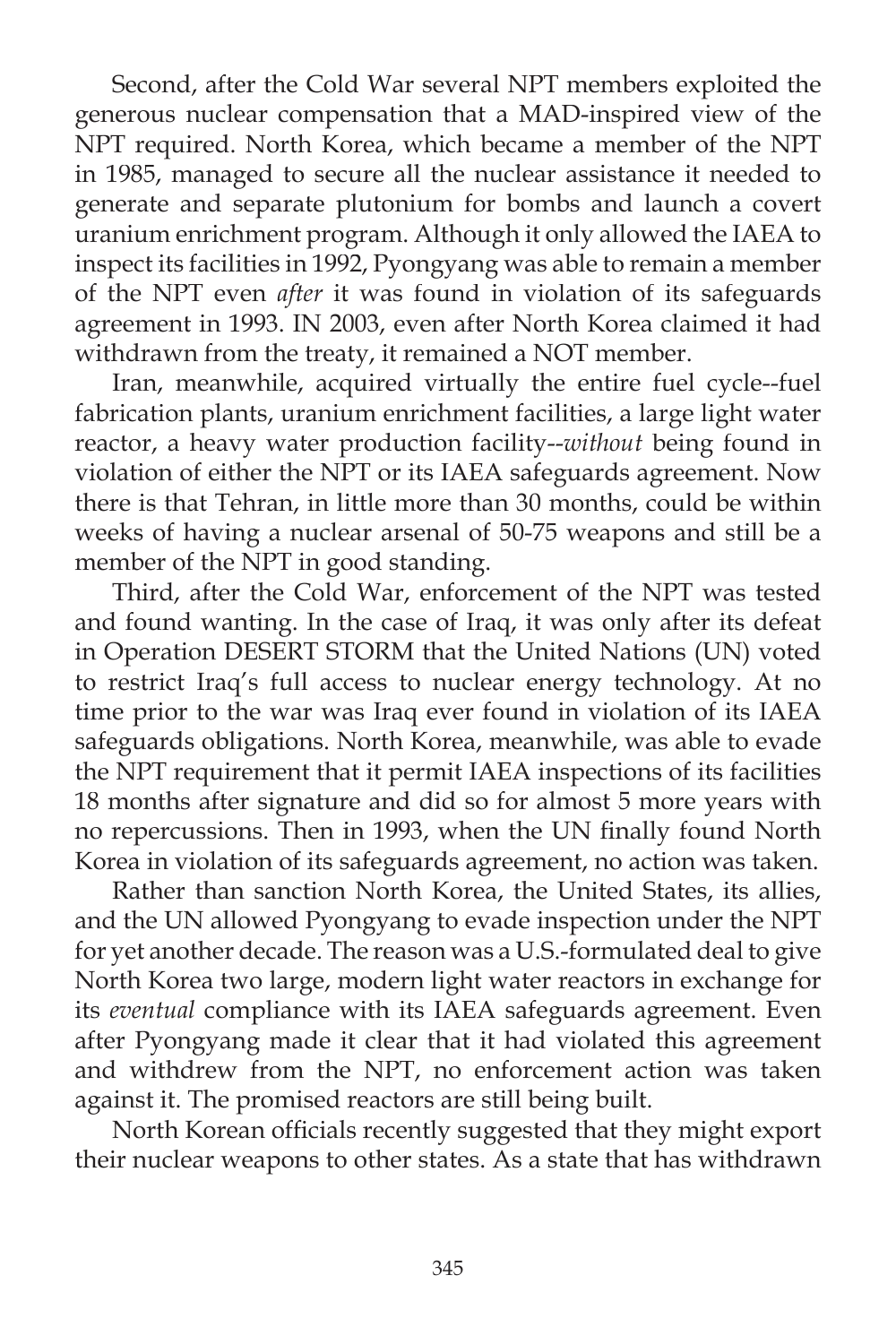Second, after the Cold War several NPT members exploited the generous nuclear compensation that a MAD-inspired view of the NPT required. North Korea, which became a member of the NPT in 1985, managed to secure all the nuclear assistance it needed to generate and separate plutonium for bombs and launch a covert uranium enrichment program. Although it only allowed the IAEA to inspect its facilities in 1992, Pyongyang was able to remain a member of the NPT even *after* it was found in violation of its safeguards agreement in 1993. IN 2003, even after North Korea claimed it had withdrawn from the treaty, it remained a NOT member.

 Iran, meanwhile, acquired virtually the entire fuel cycle--fuel fabrication plants, uranium enrichment facilities, a large light water reactor, a heavy water production facility--*without* being found in violation of either the NPT or its IAEA safeguards agreement. Now there is that Tehran, in little more than 30 months, could be within weeks of having a nuclear arsenal of 50-75 weapons and still be a member of the NPT in good standing.

 Third, after the Cold War, enforcement of the NPT was tested and found wanting. In the case of Iraq, it was only after its defeat in Operation DESERT STORM that the United Nations (UN) voted to restrict Iraq's full access to nuclear energy technology. At no time prior to the war was Iraq ever found in violation of its IAEA safeguards obligations. North Korea, meanwhile, was able to evade the NPT requirement that it permit IAEA inspections of its facilities 18 months after signature and did so for almost 5 more years with no repercussions. Then in 1993, when the UN finally found North Korea in violation of its safeguards agreement, no action was taken.

 Rather than sanction North Korea, the United States, its allies, and the UN allowed Pyongyang to evade inspection under the NPT for yet another decade. The reason was a U.S.-formulated deal to give North Korea two large, modern light water reactors in exchange for its *eventual* compliance with its IAEA safeguards agreement. Even after Pyongyang made it clear that it had violated this agreement and withdrew from the NPT, no enforcement action was taken against it. The promised reactors are still being built.

North Korean officials recently suggested that they might export their nuclear weapons to other states. As a state that has withdrawn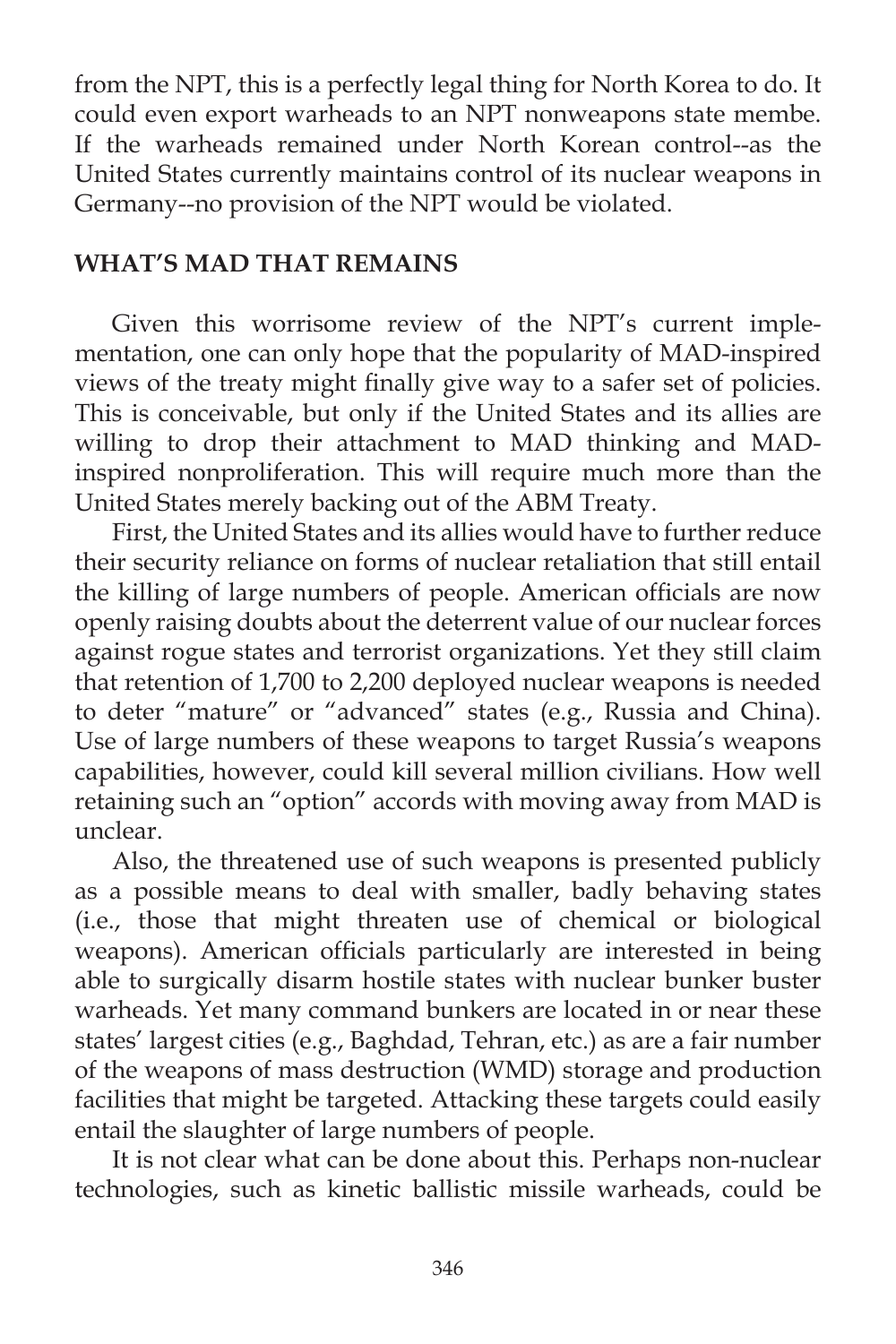from the NPT, this is a perfectly legal thing for North Korea to do. It could even export warheads to an NPT nonweapons state membe. If the warheads remained under North Korean control--as the United States currently maintains control of its nuclear weapons in Germany--no provision of the NPT would be violated.

# **WHAT'S MAD THAT REMAINS**

Given this worrisome review of the NPT's current implementation, one can only hope that the popularity of MAD-inspired views of the treaty might finally give way to a safer set of policies. This is conceivable, but only if the United States and its allies are willing to drop their attachment to MAD thinking and MADinspired nonproliferation. This will require much more than the United States merely backing out of the ABM Treaty.

 First, the United States and its allies would have to further reduce their security reliance on forms of nuclear retaliation that still entail the killing of large numbers of people. American officials are now openly raising doubts about the deterrent value of our nuclear forces against rogue states and terrorist organizations. Yet they still claim that retention of 1,700 to 2,200 deployed nuclear weapons is needed to deter "mature" or "advanced" states (e.g., Russia and China). Use of large numbers of these weapons to target Russia's weapons capabilities, however, could kill several million civilians. How well retaining such an "option" accords with moving away from MAD is unclear.

 Also, the threatened use of such weapons is presented publicly as a possible means to deal with smaller, badly behaving states (i.e., those that might threaten use of chemical or biological weapons). American officials particularly are interested in being able to surgically disarm hostile states with nuclear bunker buster warheads. Yet many command bunkers are located in or near these states' largest cities (e.g., Baghdad, Tehran, etc.) as are a fair number of the weapons of mass destruction (WMD) storage and production facilities that might be targeted. Attacking these targets could easily entail the slaughter of large numbers of people.

 It is not clear what can be done about this. Perhaps non-nuclear technologies, such as kinetic ballistic missile warheads, could be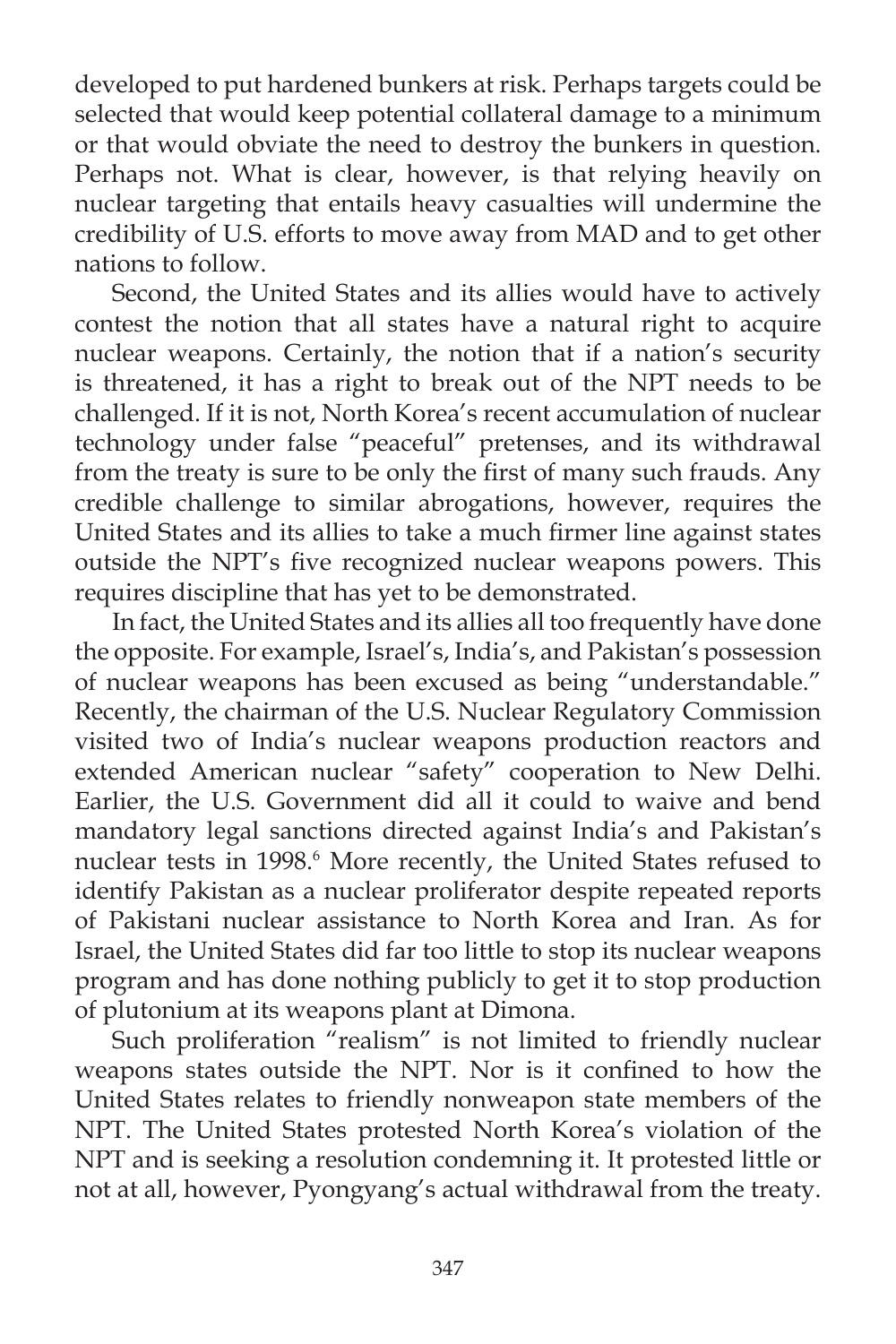developed to put hardened bunkers at risk. Perhaps targets could be selected that would keep potential collateral damage to a minimum or that would obviate the need to destroy the bunkers in question. Perhaps not. What is clear, however, is that relying heavily on nuclear targeting that entails heavy casualties will undermine the credibility of U.S. efforts to move away from MAD and to get other nations to follow.

 Second, the United States and its allies would have to actively contest the notion that all states have a natural right to acquire nuclear weapons. Certainly, the notion that if a nation's security is threatened, it has a right to break out of the NPT needs to be challenged. If it is not, North Korea's recent accumulation of nuclear technology under false "peaceful" pretenses, and its withdrawal from the treaty is sure to be only the first of many such frauds. Any credible challenge to similar abrogations, however, requires the United States and its allies to take a much firmer line against states outside the NPT's five recognized nuclear weapons powers. This requires discipline that has yet to be demonstrated.

 In fact, the United States and its allies all too frequently have done the opposite. For example, Israel's, India's, and Pakistan's possession of nuclear weapons has been excused as being "understandable." Recently, the chairman of the U.S. Nuclear Regulatory Commission visited two of India's nuclear weapons production reactors and extended American nuclear "safety" cooperation to New Delhi. Earlier, the U.S. Government did all it could to waive and bend mandatory legal sanctions directed against India's and Pakistan's nuclear tests in 1998. 6 More recently, the United States refused to identify Pakistan as a nuclear proliferator despite repeated reports of Pakistani nuclear assistance to North Korea and Iran. As for Israel, the United States did far too little to stop its nuclear weapons program and has done nothing publicly to get it to stop production of plutonium at its weapons plant at Dimona.

Such proliferation "realism" is not limited to friendly nuclear weapons states outside the NPT. Nor is it confined to how the United States relates to friendly nonweapon state members of the NPT. The United States protested North Korea's violation of the NPT and is seeking a resolution condemning it. It protested little or not at all, however, Pyongyang's actual withdrawal from the treaty.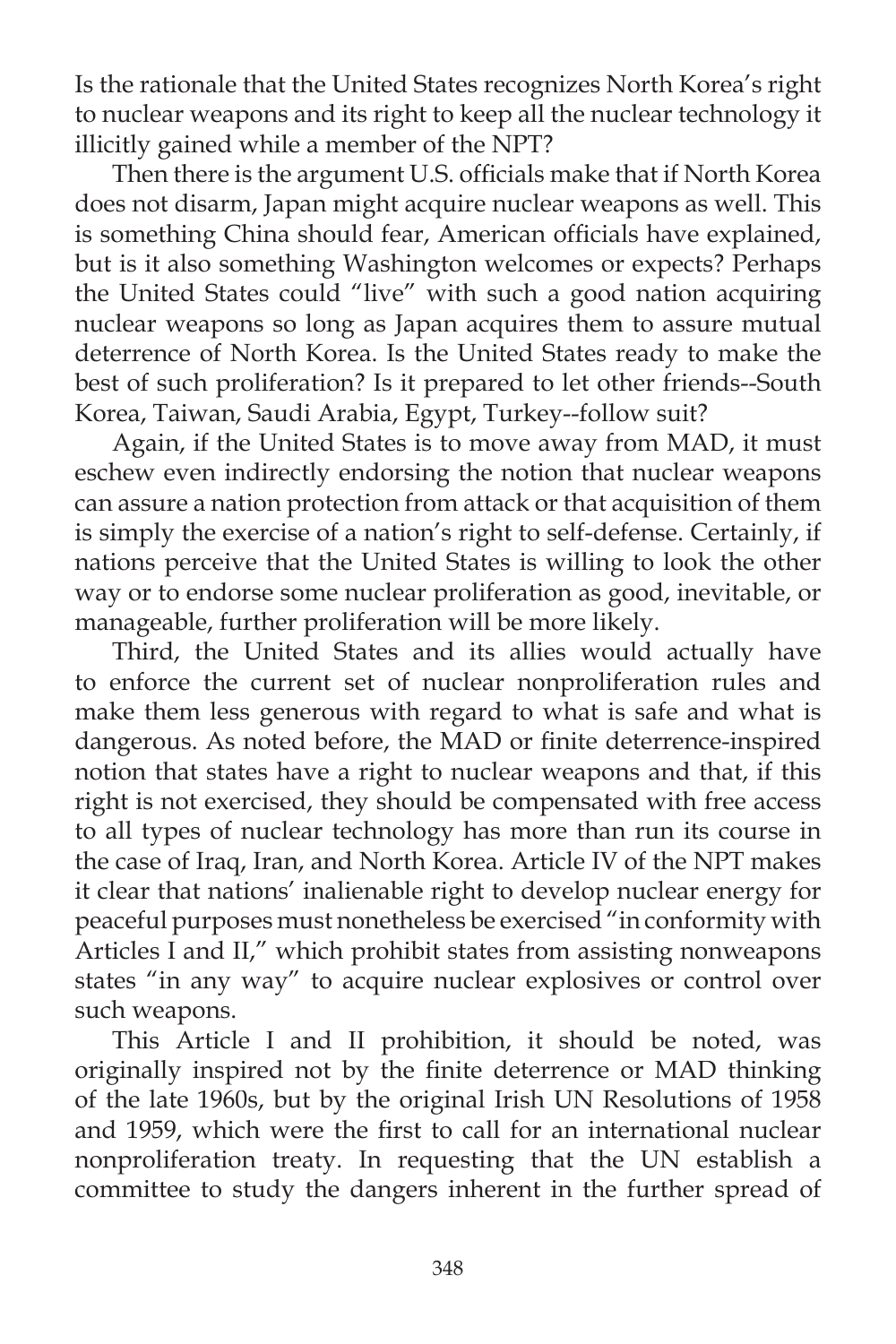Is the rationale that the United States recognizes North Korea's right to nuclear weapons and its right to keep all the nuclear technology it illicitly gained while a member of the NPT?

Then there is the argument U.S. officials make that if North Korea does not disarm, Japan might acquire nuclear weapons as well. This is something China should fear, American officials have explained, but is it also something Washington welcomes or expects? Perhaps the United States could "live" with such a good nation acquiring nuclear weapons so long as Japan acquires them to assure mutual deterrence of North Korea. Is the United States ready to make the best of such proliferation? Is it prepared to let other friends--South Korea, Taiwan, Saudi Arabia, Egypt, Turkey--follow suit?

 Again, if the United States is to move away from MAD, it must eschew even indirectly endorsing the notion that nuclear weapons can assure a nation protection from attack or that acquisition of them is simply the exercise of a nation's right to self-defense. Certainly, if nations perceive that the United States is willing to look the other way or to endorse some nuclear proliferation as good, inevitable, or manageable, further proliferation will be more likely.

 Third, the United States and its allies would actually have to enforce the current set of nuclear nonproliferation rules and make them less generous with regard to what is safe and what is dangerous. As noted before, the MAD or finite deterrence-inspired notion that states have a right to nuclear weapons and that, if this right is not exercised, they should be compensated with free access to all types of nuclear technology has more than run its course in the case of Iraq, Iran, and North Korea. Article IV of the NPT makes it clear that nations' inalienable right to develop nuclear energy for peaceful purposes must nonetheless be exercised "in conformity with Articles I and II," which prohibit states from assisting nonweapons states "in any way" to acquire nuclear explosives or control over such weapons.

 This Article I and II prohibition, it should be noted, was originally inspired not by the finite deterrence or MAD thinking of the late 1960s, but by the original Irish UN Resolutions of 1958 and 1959, which were the first to call for an international nuclear nonproliferation treaty. In requesting that the UN establish a committee to study the dangers inherent in the further spread of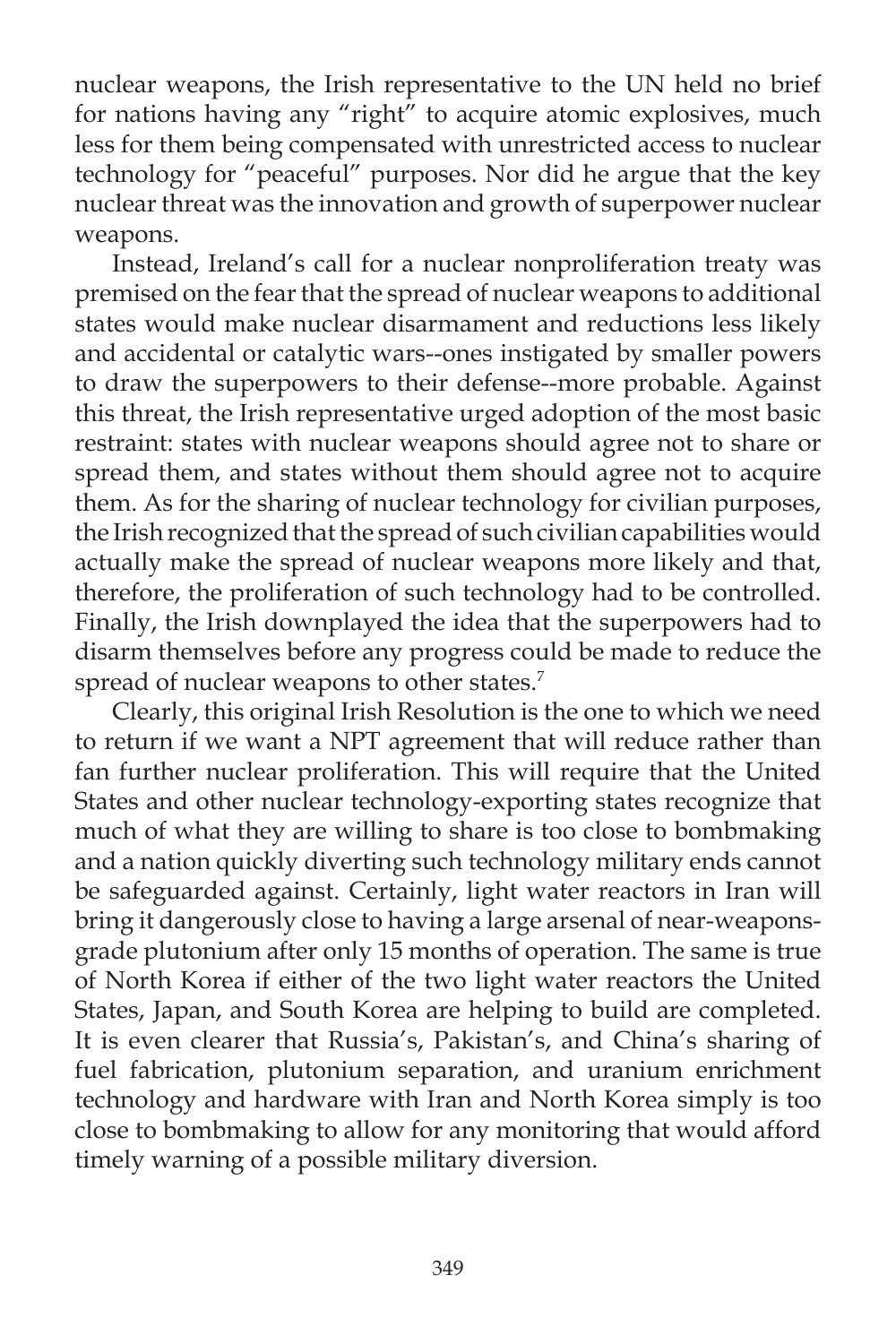nuclear weapons, the Irish representative to the UN held no brief for nations having any "right" to acquire atomic explosives, much less for them being compensated with unrestricted access to nuclear technology for "peaceful" purposes. Nor did he argue that the key nuclear threat was the innovation and growth of superpower nuclear weapons.

 Instead, Ireland's call for a nuclear nonproliferation treaty was premised on the fear that the spread of nuclear weapons to additional states would make nuclear disarmament and reductions less likely and accidental or catalytic wars--ones instigated by smaller powers to draw the superpowers to their defense--more probable. Against this threat, the Irish representative urged adoption of the most basic restraint: states with nuclear weapons should agree not to share or spread them, and states without them should agree not to acquire them. As for the sharing of nuclear technology for civilian purposes, the Irish recognized that the spread of such civilian capabilities would actually make the spread of nuclear weapons more likely and that, therefore, the proliferation of such technology had to be controlled. Finally, the Irish downplayed the idea that the superpowers had to disarm themselves before any progress could be made to reduce the spread of nuclear weapons to other states.<sup>7</sup>

 Clearly, this original Irish Resolution is the one to which we need to return if we want a NPT agreement that will reduce rather than fan further nuclear proliferation. This will require that the United States and other nuclear technology-exporting states recognize that much of what they are willing to share is too close to bombmaking and a nation quickly diverting such technology military ends cannot be safeguarded against. Certainly, light water reactors in Iran will bring it dangerously close to having a large arsenal of near-weaponsgrade plutonium after only 15 months of operation. The same is true of North Korea if either of the two light water reactors the United States, Japan, and South Korea are helping to build are completed. It is even clearer that Russia's, Pakistan's, and China's sharing of fuel fabrication, plutonium separation, and uranium enrichment technology and hardware with Iran and North Korea simply is too close to bombmaking to allow for any monitoring that would afford timely warning of a possible military diversion.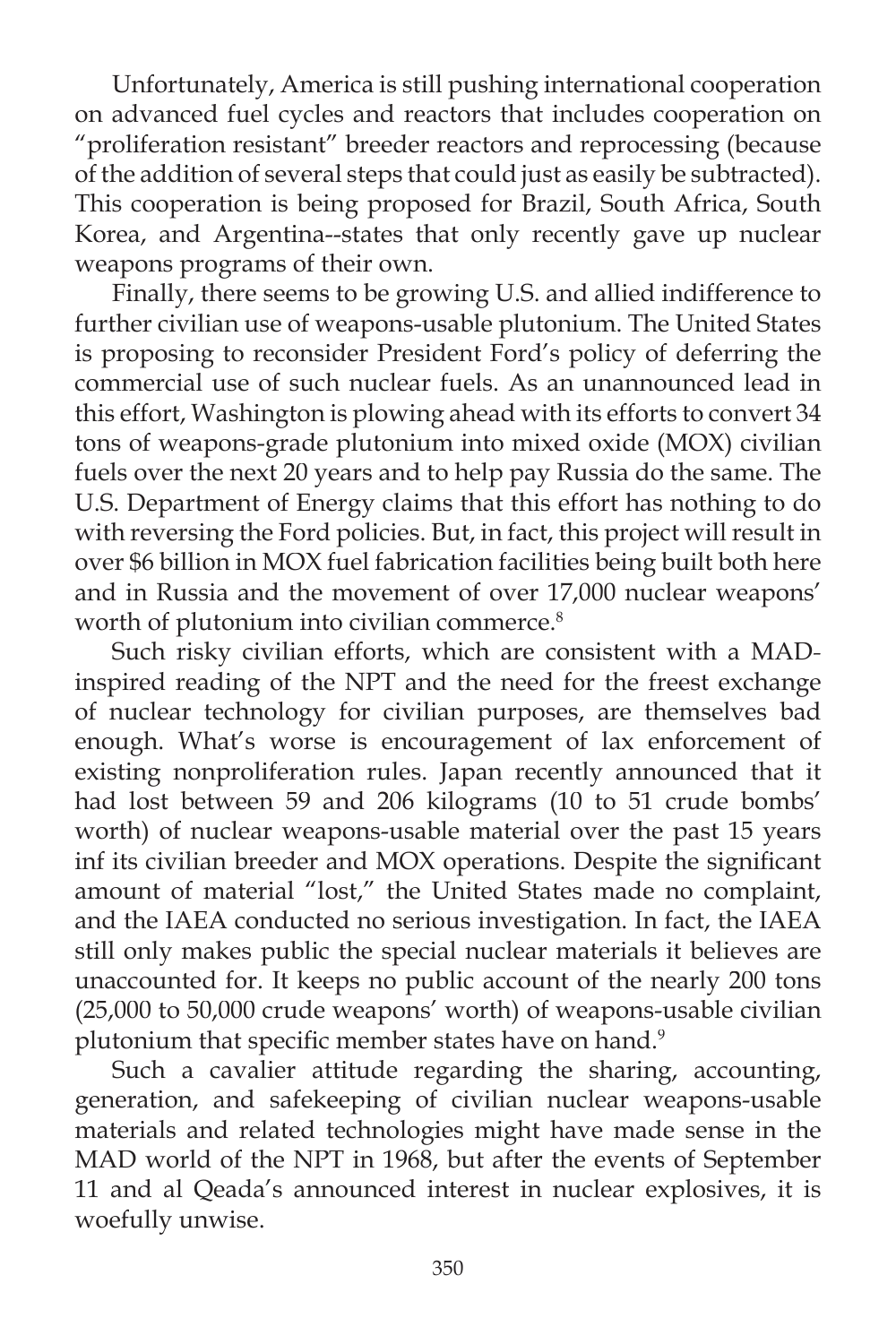Unfortunately, America is still pushing international cooperation on advanced fuel cycles and reactors that includes cooperation on "proliferation resistant" breeder reactors and reprocessing (because of the addition of several steps that could just as easily be subtracted). This cooperation is being proposed for Brazil, South Africa, South Korea, and Argentina--states that only recently gave up nuclear weapons programs of their own.

 Finally, there seems to be growing U.S. and allied indifference to further civilian use of weapons-usable plutonium. The United States is proposing to reconsider President Ford's policy of deferring the commercial use of such nuclear fuels. As an unannounced lead in this effort, Washington is plowing ahead with its efforts to convert 34 tons of weapons-grade plutonium into mixed oxide (MOX) civilian fuels over the next 20 years and to help pay Russia do the same. The U.S. Department of Energy claims that this effort has nothing to do with reversing the Ford policies. But, in fact, this project will result in over \$6 billion in MOX fuel fabrication facilities being built both here and in Russia and the movement of over 17,000 nuclear weapons' worth of plutonium into civilian commerce.<sup>8</sup>

 Such risky civilian efforts, which are consistent with a MADinspired reading of the NPT and the need for the freest exchange of nuclear technology for civilian purposes, are themselves bad enough. What's worse is encouragement of lax enforcement of existing nonproliferation rules. Japan recently announced that it had lost between 59 and 206 kilograms (10 to 51 crude bombs' worth) of nuclear weapons-usable material over the past 15 years inf its civilian breeder and MOX operations. Despite the significant amount of material "lost," the United States made no complaint, and the IAEA conducted no serious investigation. In fact, the IAEA still only makes public the special nuclear materials it believes are unaccounted for. It keeps no public account of the nearly 200 tons (25,000 to 50,000 crude weapons' worth) of weapons-usable civilian plutonium that specific member states have on hand.<sup>9</sup>

 Such a cavalier attitude regarding the sharing, accounting, generation, and safekeeping of civilian nuclear weapons-usable materials and related technologies might have made sense in the MAD world of the NPT in 1968, but after the events of September 11 and al Qeada's announced interest in nuclear explosives, it is woefully unwise.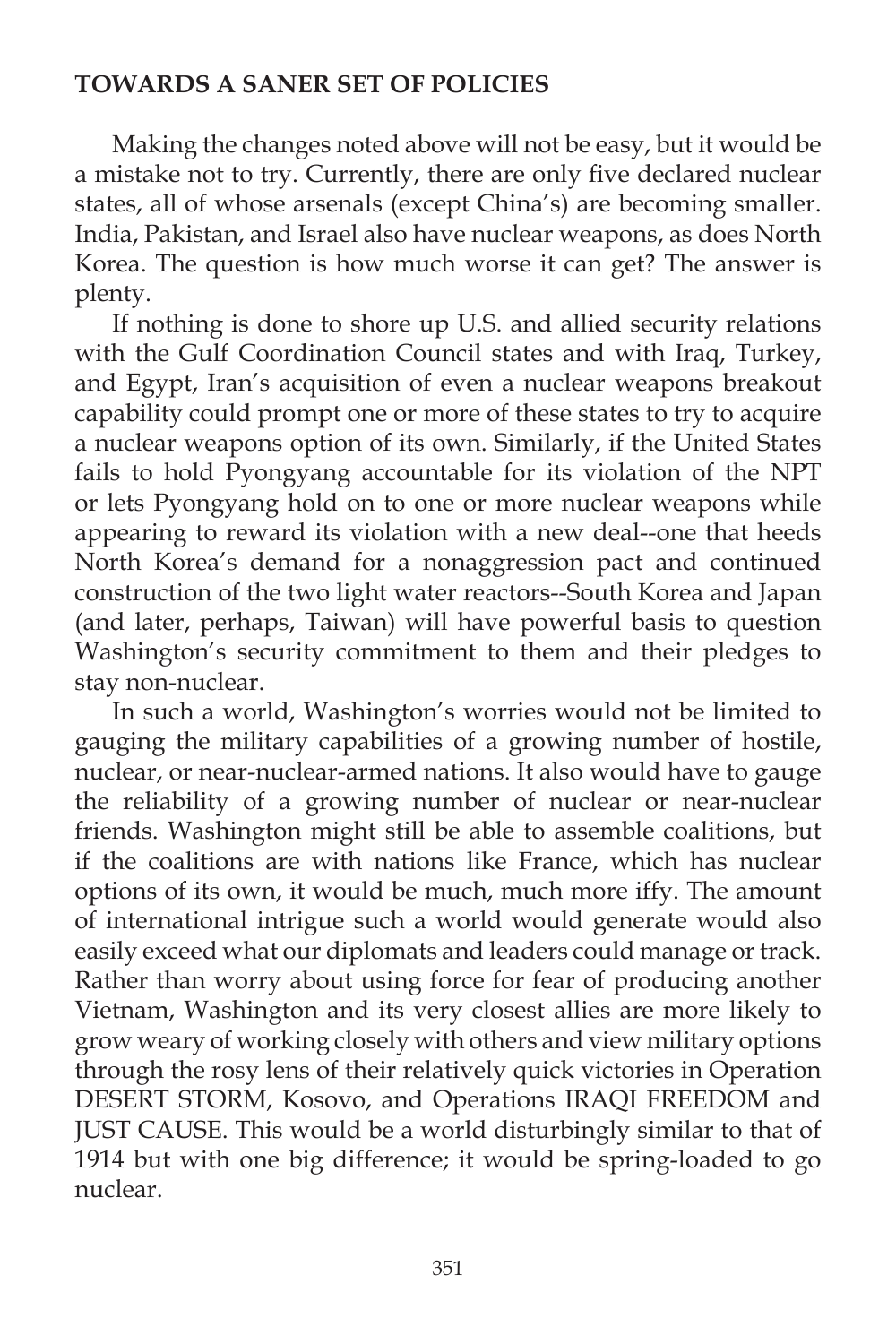### **TOWARDS A SANER SET OF POLICIES**

Making the changes noted above will not be easy, but it would be a mistake not to try. Currently, there are only five declared nuclear states, all of whose arsenals (except China's) are becoming smaller. India, Pakistan, and Israel also have nuclear weapons, as does North Korea. The question is how much worse it can get? The answer is plenty.

 If nothing is done to shore up U.S. and allied security relations with the Gulf Coordination Council states and with Iraq, Turkey, and Egypt, Iran's acquisition of even a nuclear weapons breakout capability could prompt one or more of these states to try to acquire a nuclear weapons option of its own. Similarly, if the United States fails to hold Pyongyang accountable for its violation of the NPT or lets Pyongyang hold on to one or more nuclear weapons while appearing to reward its violation with a new deal--one that heeds North Korea's demand for a nonaggression pact and continued construction of the two light water reactors--South Korea and Japan (and later, perhaps, Taiwan) will have powerful basis to question Washington's security commitment to them and their pledges to stay non-nuclear.

 In such a world, Washington's worries would not be limited to gauging the military capabilities of a growing number of hostile, nuclear, or near-nuclear-armed nations. It also would have to gauge the reliability of a growing number of nuclear or near-nuclear friends. Washington might still be able to assemble coalitions, but if the coalitions are with nations like France, which has nuclear options of its own, it would be much, much more iffy. The amount of international intrigue such a world would generate would also easily exceed what our diplomats and leaders could manage or track. Rather than worry about using force for fear of producing another Vietnam, Washington and its very closest allies are more likely to grow weary of working closely with others and view military options through the rosy lens of their relatively quick victories in Operation DESERT STORM, Kosovo, and Operations IRAQI FREEDOM and JUST CAUSE. This would be a world disturbingly similar to that of 1914 but with one big difference; it would be spring-loaded to go nuclear.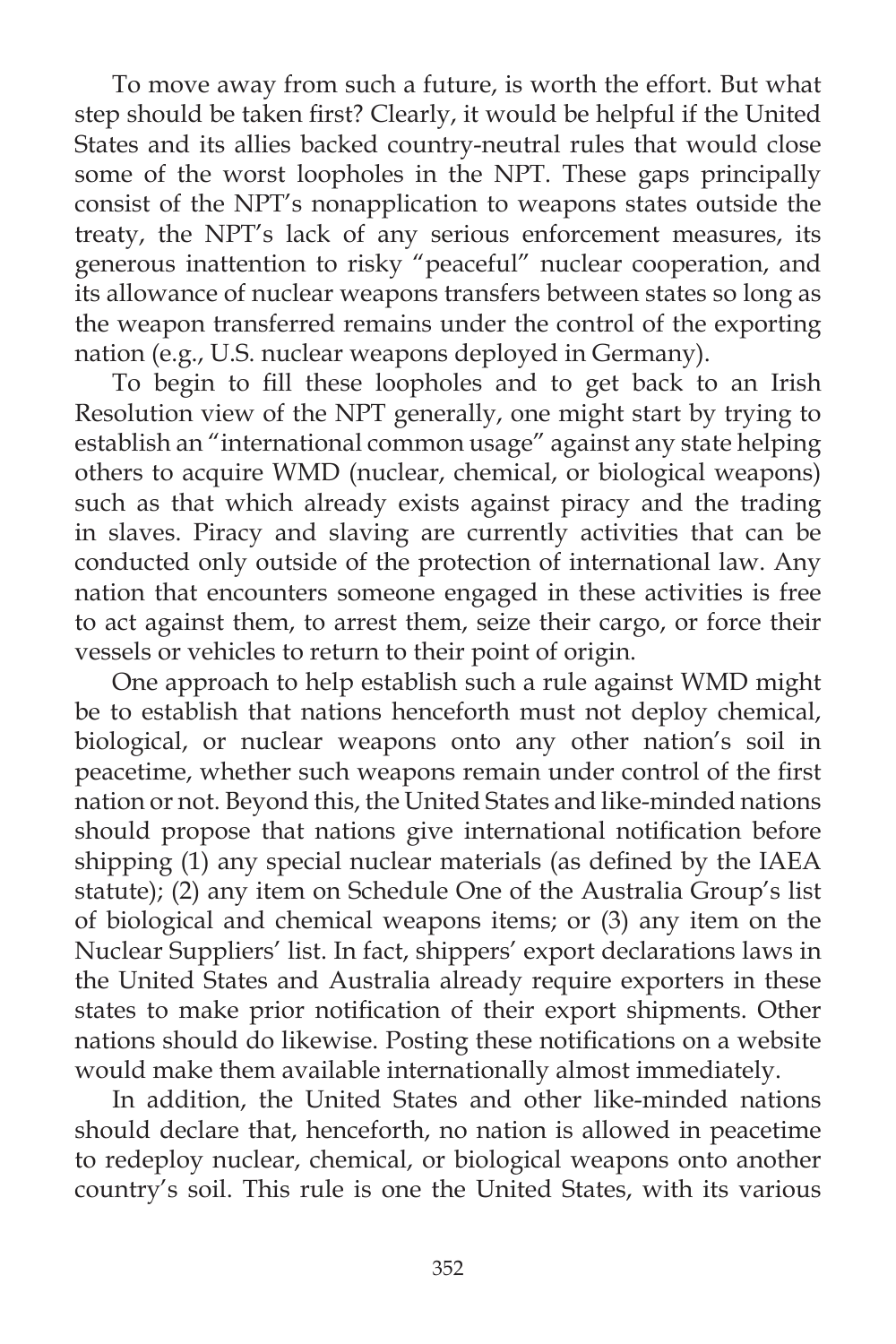To move away from such a future, is worth the effort. But what step should be taken first? Clearly, it would be helpful if the United States and its allies backed country-neutral rules that would close some of the worst loopholes in the NPT. These gaps principally consist of the NPT's nonapplication to weapons states outside the treaty, the NPT's lack of any serious enforcement measures, its generous inattention to risky "peaceful" nuclear cooperation, and its allowance of nuclear weapons transfers between states so long as the weapon transferred remains under the control of the exporting nation (e.g., U.S. nuclear weapons deployed in Germany).

To begin to fill these loopholes and to get back to an Irish Resolution view of the NPT generally, one might start by trying to establish an "international common usage" against any state helping others to acquire WMD (nuclear, chemical, or biological weapons) such as that which already exists against piracy and the trading in slaves. Piracy and slaving are currently activities that can be conducted only outside of the protection of international law. Any nation that encounters someone engaged in these activities is free to act against them, to arrest them, seize their cargo, or force their vessels or vehicles to return to their point of origin.

 One approach to help establish such a rule against WMD might be to establish that nations henceforth must not deploy chemical, biological, or nuclear weapons onto any other nation's soil in peacetime, whether such weapons remain under control of the first nation or not. Beyond this, the United States and like-minded nations should propose that nations give international notification before shipping (1) any special nuclear materials (as defined by the IAEA statute); (2) any item on Schedule One of the Australia Group's list of biological and chemical weapons items; or (3) any item on the Nuclear Suppliers' list. In fact, shippers' export declarations laws in the United States and Australia already require exporters in these states to make prior notification of their export shipments. Other nations should do likewise. Posting these notifications on a website would make them available internationally almost immediately.

 In addition, the United States and other like-minded nations should declare that, henceforth, no nation is allowed in peacetime to redeploy nuclear, chemical, or biological weapons onto another country's soil. This rule is one the United States, with its various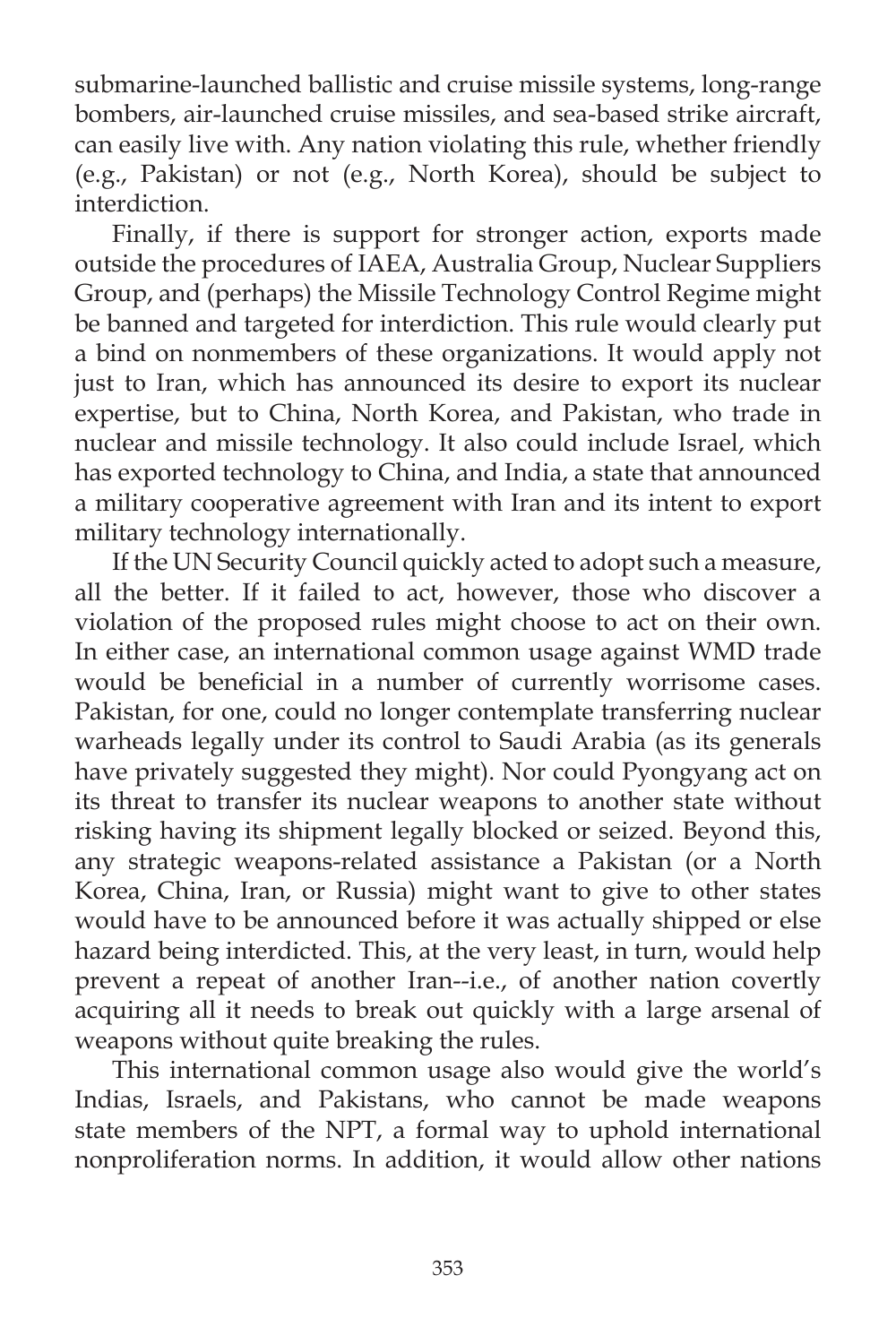submarine-launched ballistic and cruise missile systems, long-range bombers, air-launched cruise missiles, and sea-based strike aircraft, can easily live with. Any nation violating this rule, whether friendly (e.g., Pakistan) or not (e.g., North Korea), should be subject to interdiction.

 Finally, if there is support for stronger action, exports made outside the procedures of IAEA, Australia Group, Nuclear Suppliers Group, and (perhaps) the Missile Technology Control Regime might be banned and targeted for interdiction. This rule would clearly put a bind on nonmembers of these organizations. It would apply not just to Iran, which has announced its desire to export its nuclear expertise, but to China, North Korea, and Pakistan, who trade in nuclear and missile technology. It also could include Israel, which has exported technology to China, and India, a state that announced a military cooperative agreement with Iran and its intent to export military technology internationally.

 If the UN Security Council quickly acted to adopt such a measure, all the better. If it failed to act, however, those who discover a violation of the proposed rules might choose to act on their own. In either case, an international common usage against WMD trade would be beneficial in a number of currently worrisome cases. Pakistan, for one, could no longer contemplate transferring nuclear warheads legally under its control to Saudi Arabia (as its generals have privately suggested they might). Nor could Pyongyang act on its threat to transfer its nuclear weapons to another state without risking having its shipment legally blocked or seized. Beyond this, any strategic weapons-related assistance a Pakistan (or a North Korea, China, Iran, or Russia) might want to give to other states would have to be announced before it was actually shipped or else hazard being interdicted. This, at the very least, in turn, would help prevent a repeat of another Iran--i.e., of another nation covertly acquiring all it needs to break out quickly with a large arsenal of weapons without quite breaking the rules.

 This international common usage also would give the world's Indias, Israels, and Pakistans, who cannot be made weapons state members of the NPT, a formal way to uphold international nonproliferation norms. In addition, it would allow other nations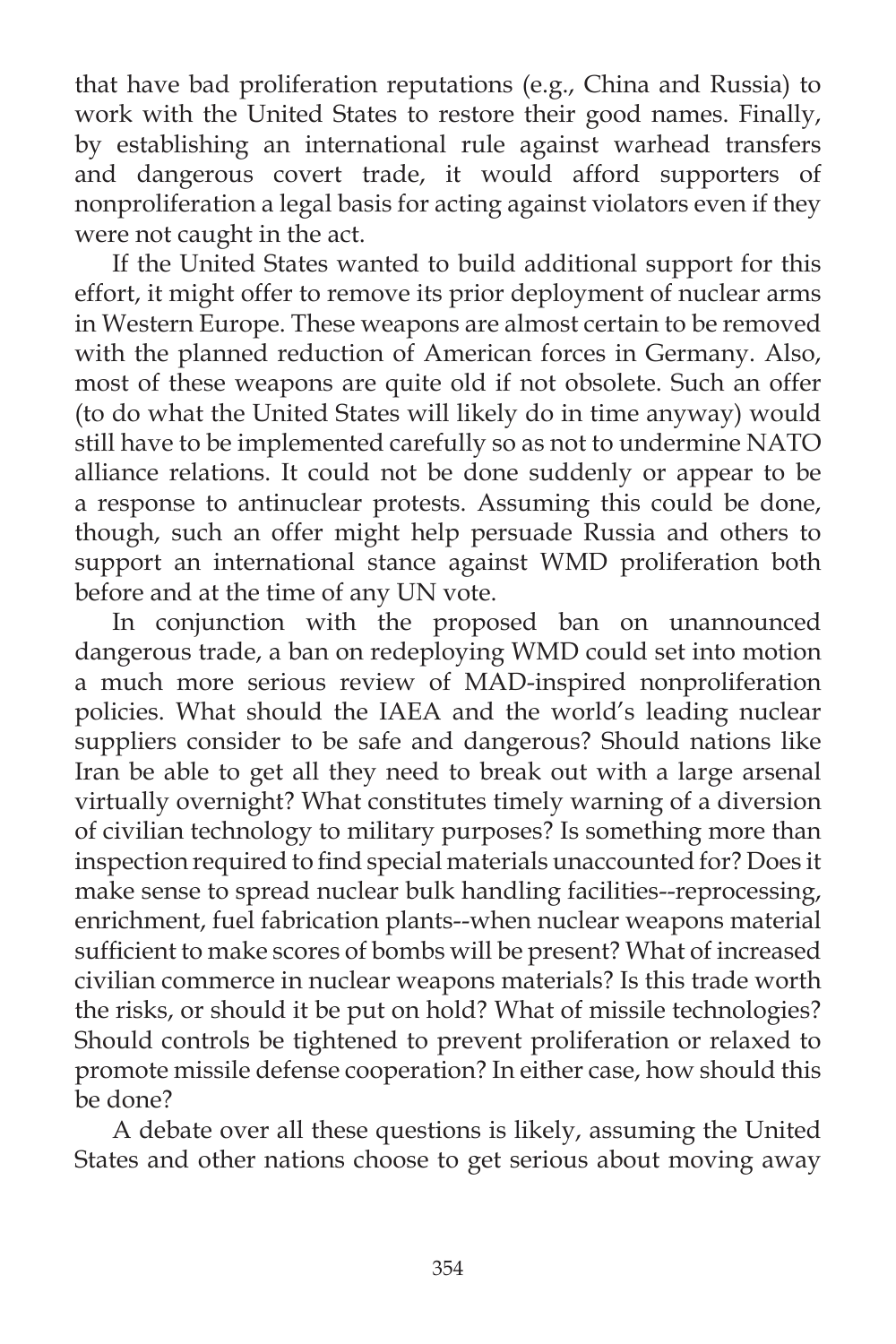that have bad proliferation reputations (e.g., China and Russia) to work with the United States to restore their good names. Finally, by establishing an international rule against warhead transfers and dangerous covert trade, it would afford supporters of nonproliferation a legal basis for acting against violators even if they were not caught in the act.

 If the United States wanted to build additional support for this effort, it might offer to remove its prior deployment of nuclear arms in Western Europe. These weapons are almost certain to be removed with the planned reduction of American forces in Germany. Also, most of these weapons are quite old if not obsolete. Such an offer (to do what the United States will likely do in time anyway) would still have to be implemented carefully so as not to undermine NATO alliance relations. It could not be done suddenly or appear to be a response to antinuclear protests. Assuming this could be done, though, such an offer might help persuade Russia and others to support an international stance against WMD proliferation both before and at the time of any UN vote.

 In conjunction with the proposed ban on unannounced dangerous trade, a ban on redeploying WMD could set into motion a much more serious review of MAD-inspired nonproliferation policies. What should the IAEA and the world's leading nuclear suppliers consider to be safe and dangerous? Should nations like Iran be able to get all they need to break out with a large arsenal virtually overnight? What constitutes timely warning of a diversion of civilian technology to military purposes? Is something more than inspection required to find special materials unaccounted for? Does it make sense to spread nuclear bulk handling facilities--reprocessing, enrichment, fuel fabrication plants--when nuclear weapons material sufficient to make scores of bombs will be present? What of increased civilian commerce in nuclear weapons materials? Is this trade worth the risks, or should it be put on hold? What of missile technologies? Should controls be tightened to prevent proliferation or relaxed to promote missile defense cooperation? In either case, how should this be done?

 A debate over all these questions is likely, assuming the United States and other nations choose to get serious about moving away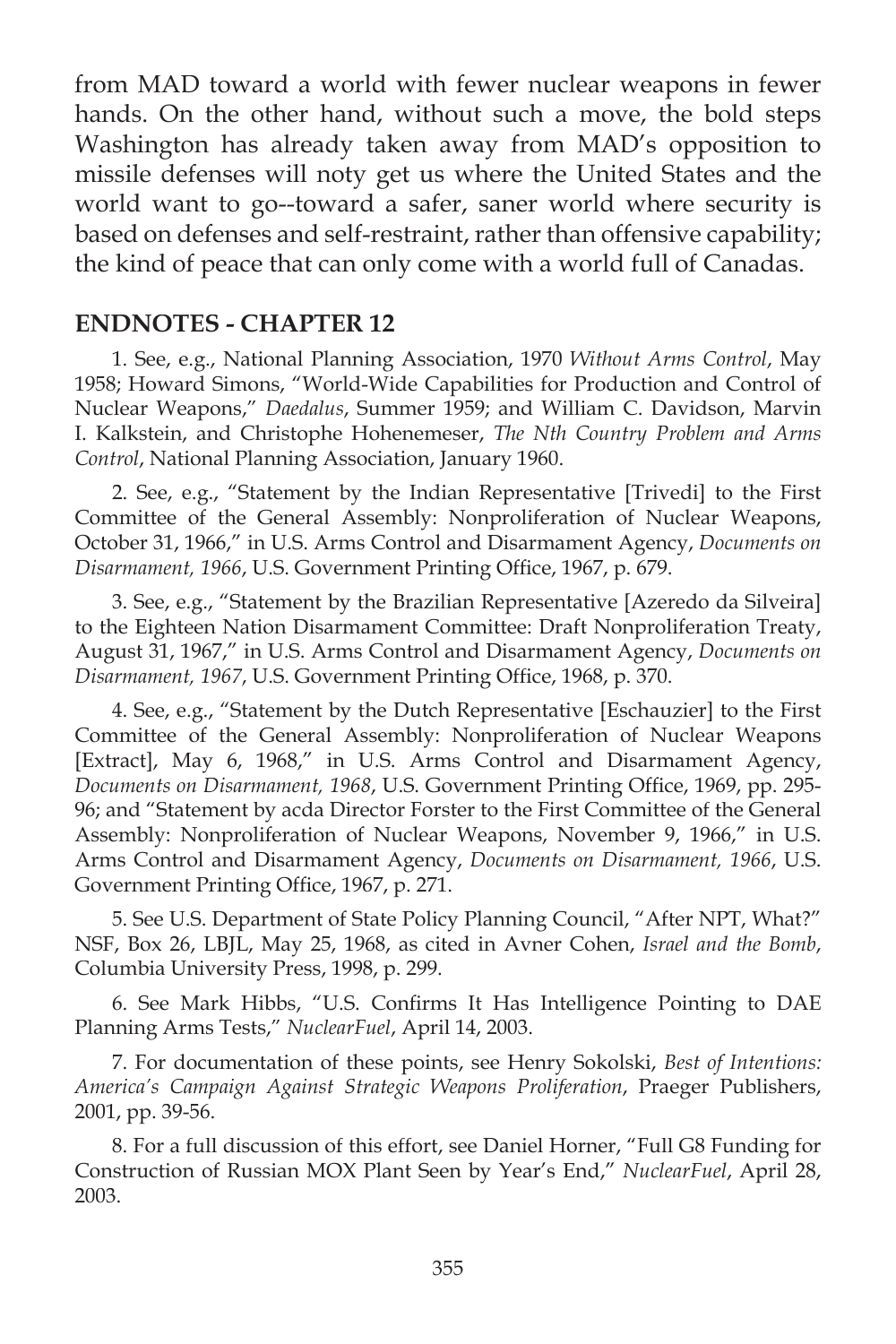from MAD toward a world with fewer nuclear weapons in fewer hands. On the other hand, without such a move, the bold steps Washington has already taken away from MAD's opposition to missile defenses will noty get us where the United States and the world want to go--toward a safer, saner world where security is based on defenses and self-restraint, rather than offensive capability; the kind of peace that can only come with a world full of Canadas.

#### **ENDNOTES - CHAPTER 12**

1. See, e.g., National Planning Association, 1970 *Without Arms Control*, May 1958; Howard Simons, "World-Wide Capabilities for Production and Control of Nuclear Weapons," *Daedalus*, Summer 1959; and William C. Davidson, Marvin I. Kalkstein, and Christophe Hohenemeser, *The Nth Country Problem and Arms Control*, National Planning Association, January 1960.

2. See, e.g., "Statement by the Indian Representative [Trivedi] to the First Committee of the General Assembly: Nonproliferation of Nuclear Weapons, October 31, 1966," in U.S. Arms Control and Disarmament Agency, *Documents on Disarmament, 1966, U.S. Government Printing Office, 1967, p. 679.* 

3. See, e.g., "Statement by the Brazilian Representative [Azeredo da Silveira] to the Eighteen Nation Disarmament Committee: Draft Nonproliferation Treaty, August 31, 1967," in U.S. Arms Control and Disarmament Agency, *Documents on*  Disarmament, 1967, U.S. Government Printing Office, 1968, p. 370.

4. See, e.g., "Statement by the Dutch Representative [Eschauzier] to the First Committee of the General Assembly: Nonproliferation of Nuclear Weapons [Extract], May 6, 1968," in U.S. Arms Control and Disarmament Agency, *Documents on Disarmament, 1968, U.S. Government Printing Office, 1969, pp. 295-*96; and "Statement by acda Director Forster to the First Committee of the General Assembly: Nonproliferation of Nuclear Weapons, November 9, 1966," in U.S. Arms Control and Disarmament Agency, *Documents on Disarmament, 1966*, U.S. Government Printing Office, 1967, p. 271.

5. See U.S. Department of State Policy Planning Council, "After NPT, What?" NSF, Box 26, LBJL, May 25, 1968, as cited in Avner Cohen, *Israel and the Bomb*, Columbia University Press, 1998, p. 299.

6. See Mark Hibbs, "U.S. Confirms It Has Intelligence Pointing to DAE Planning Arms Tests," *NuclearFuel*, April 14, 2003.

7. For documentation of these points, see Henry Sokolski, *Best of Intentions: America's Campaign Against Strategic Weapons Proliferation*, Praeger Publishers, 2001, pp. 39-56.

8. For a full discussion of this effort, see Daniel Horner, "Full G8 Funding for Construction of Russian MOX Plant Seen by Year's End," *NuclearFuel*, April 28, 2003.